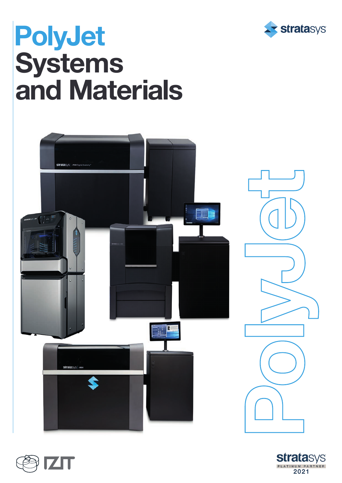

# PolyJet Systems and Materials





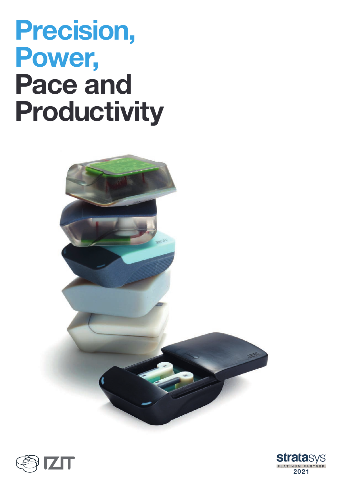# Precision, Power, Pace and Productivity





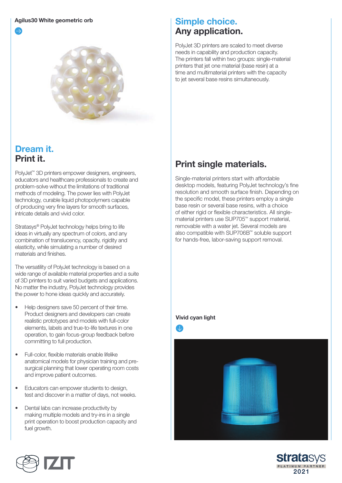Agilus30 White geometric orb

 $\Rightarrow$ 



#### Dream it. Print it.

PolyJet™ 3D printers empower designers, engineers, educators and healthcare professionals to create and problem-solve without the limitations of traditional methods of modeling. The power lies with PolyJet technology, curable liquid photopolymers capable of producing very fine layers for smooth surfaces, intricate details and vivid color.

Stratasys® PolyJet technology helps bring to life ideas in virtually any spectrum of colors, and any combination of translucency, opacity, rigidity and elasticity, while simulating a number of desired materials and finishes.

The versatility of PolyJet technology is based on a wide range of available material properties and a suite of 3D printers to suit varied budgets and applications. No matter the industry, PolyJet technology provides the power to hone ideas quickly and accurately.

- Help designers save 50 percent of their time. Product designers and developers can create realistic prototypes and models with full-color elements, labels and true-to-life textures in one operation, to gain focus-group feedback before committing to full production.
- Full-color, flexible materials enable lifelike anatomical models for physician training and presurgical planning that lower operating room costs and improve patient outcomes.
- Educators can empower students to design, test and discover in a matter of days, not weeks.
- Dental labs can increase productivity by making multiple models and try-ins in a single print operation to boost production capacity and fuel growth.

### Simple choice. Any application.

PolyJet 3D printers are scaled to meet diverse needs in capability and production capacity. The printers fall within two groups: single-material printers that jet one material (base resin) at a time and multimaterial printers with the capacity to jet several base resins simultaneously.

### Print single materials.

Single-material printers start with affordable desktop models, featuring PolyJet technology's fine resolution and smooth surface finish. Depending on the specific model, these printers employ a single base resin or several base resins, with a choice of either rigid or flexible characteristics. All singlematerial printers use SUP705™ support material, removable with a water jet. Several models are also compatible with SUP706B™ soluble support for hands-free, labor-saving support removal.

#### Vivid cyan light







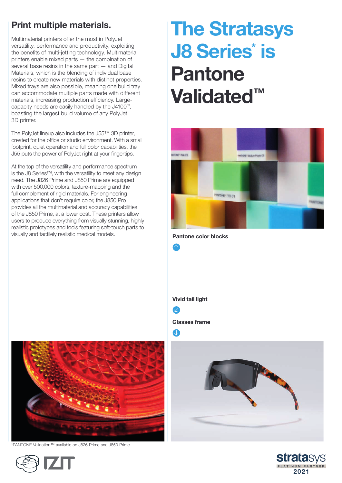### Print multiple materials.

Multimaterial printers offer the most in PolyJet versatility, performance and productivity, exploiting the benefits of multi-jetting technology. Multimaterial printers enable mixed parts — the combination of several base resins in the same part — and Digital Materials, which is the blending of individual base resins to create new materials with distinct properties. Mixed trays are also possible, meaning one build tray can accommodate multiple parts made with different materials, increasing production efficiency. Largecapacity needs are easily handled by the J4100™, boasting the largest build volume of any PolyJet 3D printer.

The PolyJet lineup also includes the J55™ 3D printer, created for the office or studio environment. With a small footprint, quiet operation and full color capabilities, the J55 puts the power of PolyJet right at your fingertips.

At the top of the versatility and performance spectrum is the J8 Series™, with the versatility to meet any design need. The J826 Prime and J850 Prime are equipped with over 500,000 colors, texture-mapping and the full complement of rigid materials. For engineering applications that don't require color, the J850 Pro provides all the multimaterial and accuracy capabilities of the J850 Prime, at a lower cost. These printers allow users to produce everything from visually stunning, highly realistic prototypes and tools featuring soft-touch parts to visually and tactilely realistic medical models.

## The Stratasys **J8 Series\* is** Pantone Validated<sup>™</sup>



Pantone color blocks



\*PANTONE Validation™ available on J826 Prime and J850 Prime





Vivid tail light



 $\bigcirc$ 



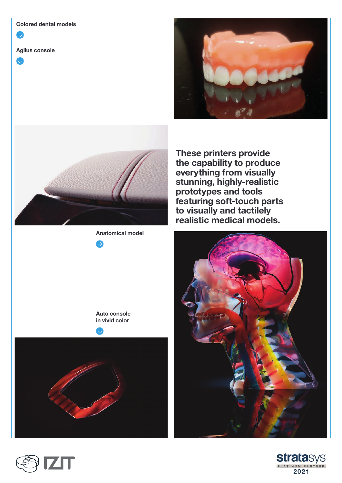Colored dental models

Agilus console

 $\bullet$ 

 $\bigcirc$ 





Anatomical model

 $\bigodot$ 

Auto console in vivid color



These printers provide the capability to produce everything from visually stunning, highly-realistic prototypes and tools featuring soft-touch parts to visually and tactilely realistic medical models.





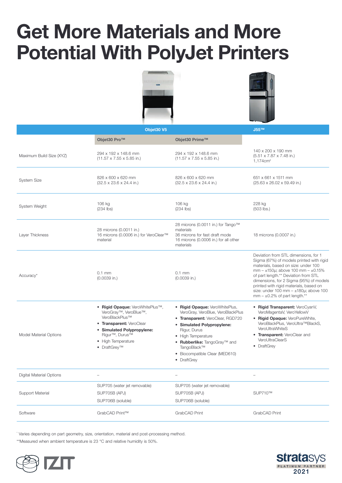## Get More Materials and More Potential With PolyJet Printers





|                                 | Objet30 V5                                                                                                                                                                                                              |                                                                                                                                                                                                                                                                                         | <b>J55TM</b>                                                                                                                                                                                                                                                                                                                                                                             |
|---------------------------------|-------------------------------------------------------------------------------------------------------------------------------------------------------------------------------------------------------------------------|-----------------------------------------------------------------------------------------------------------------------------------------------------------------------------------------------------------------------------------------------------------------------------------------|------------------------------------------------------------------------------------------------------------------------------------------------------------------------------------------------------------------------------------------------------------------------------------------------------------------------------------------------------------------------------------------|
|                                 | Objet30 Pro™                                                                                                                                                                                                            | Objet30 Prime™                                                                                                                                                                                                                                                                          |                                                                                                                                                                                                                                                                                                                                                                                          |
| Maximum Build Size (XYZ)        | 294 x 192 x 148.6 mm<br>$(11.57 \times 7.55 \times 5.85 \text{ in.})$                                                                                                                                                   | 294 x 192 x 148.6 mm<br>$(11.57 \times 7.55 \times 5.85 \text{ in.})$                                                                                                                                                                                                                   | 140 x 200 x 190 mm<br>$(5.51 \times 7.87 \times 7.48 \text{ in.})$<br>1.174cm <sup>2</sup>                                                                                                                                                                                                                                                                                               |
| <b>System Size</b>              | 826 x 600 x 620 mm<br>$(32.5 \times 23.6 \times 24.4 \text{ in.})$                                                                                                                                                      | 826 x 600 x 620 mm<br>$(32.5 \times 23.6 \times 24.4 \text{ in.})$                                                                                                                                                                                                                      | 651 x 661 x 1511 mm<br>$(25.63 \times 26.02 \times 59.49 \text{ in.})$                                                                                                                                                                                                                                                                                                                   |
| System Weight                   | 106 kg<br>$(234$ lbs)                                                                                                                                                                                                   | 106 kg<br>$(234$ lbs)                                                                                                                                                                                                                                                                   | 228 kg<br>$(503$ lbs.)                                                                                                                                                                                                                                                                                                                                                                   |
| Layer Thickness                 | 28 microns (0.0011 in.)<br>16 microns (0.0006 in.) for VeroClear™<br>material                                                                                                                                           | 28 microns (0.0011 in.) for Tango™<br>materials<br>36 microns for fast draft mode<br>16 microns (0.0006 in.) for all other<br>materials                                                                                                                                                 | 18 microns (0.0007 in.)                                                                                                                                                                                                                                                                                                                                                                  |
| Accuracy <sup>*</sup>           | $0.1$ mm<br>$(0.0039$ in.)                                                                                                                                                                                              | $0.1$ mm<br>$(0.0039$ in.)                                                                                                                                                                                                                                                              | Deviation from STL dimensions, for 1<br>Sigma (67%) of models printed with rigid<br>materials, based on size: under 100<br>mm – $\pm$ 150µ; above 100 mm – $\pm$ 0.15%<br>of part length.** Deviation from STL<br>dimensions, for 2 Sigma (95%) of models<br>printed with rigid materials, based on<br>size: under 100 mm $ \pm$ 180 $\mu$ ; above 100<br>$mm - ±0.2%$ of part length.** |
| <b>Model Material Options</b>   | • Rigid Opaque: VeroWhitePlus <sup>TM</sup> ,<br>VeroGray™, VeroBlue™,<br>VeroBlackPlus™<br>• Transparent: VeroClear<br>• Simulated Polypropylene:<br>Rigur™, Durus™<br>• High Temperature<br>• DraftGrey <sup>TM</sup> | • Rigid Opaque: VeroWhitePlus,<br>VeroGray, VeroBlue, VeroBlackPlus<br>• Transparent: VeroClear, RGD720<br>• Simulated Polypropylene:<br>Rigur, Durus<br>• High Temperature<br>• Rubberlike: TangoGray <sup>™</sup> and<br>TangoBlack™<br>• Biocompatible Clear (MED610)<br>• DraftGrey | • Rigid Transparent: VeroCyanV,<br>VeroMagentaV, VeroYellowV<br>• Rigid Opaque: VeroPureWhite,<br>VeroBlackPlus, VeroUltra™BlackS,<br>VeroUltraWhiteS<br>• Transparent: VeroClear and<br>VeroUltraClearS<br>• DraftGrey                                                                                                                                                                  |
| <b>Digital Material Options</b> |                                                                                                                                                                                                                         |                                                                                                                                                                                                                                                                                         |                                                                                                                                                                                                                                                                                                                                                                                          |
| Support Material                | SUP705 (water jet removable)<br>SUP705B (APJ)<br>SUP706B (soluble)                                                                                                                                                      | SUP705 (water jet removable)<br>SUP705B (APJ)<br>SUP706B (soluble)                                                                                                                                                                                                                      | SUP710™                                                                                                                                                                                                                                                                                                                                                                                  |
| Software                        | GrabCAD Print™                                                                                                                                                                                                          | GrabCAD Print                                                                                                                                                                                                                                                                           | GrabCAD Print                                                                                                                                                                                                                                                                                                                                                                            |

\* Varies depending on part geometry, size, orientation, material and post-processing method.

\*\*Measured when ambient temperature is 23 °C and relative humidity is 50%.



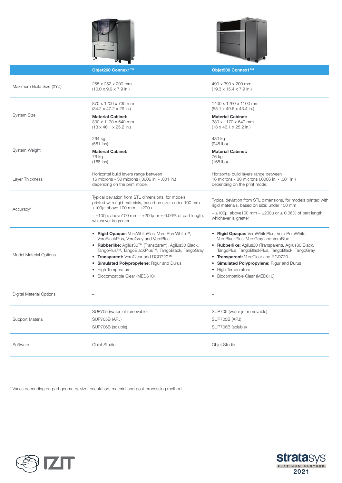



|                                 | Objet260 Connex1™                                                                                                                                                | Objet500 Connex1™                                                                                                       |
|---------------------------------|------------------------------------------------------------------------------------------------------------------------------------------------------------------|-------------------------------------------------------------------------------------------------------------------------|
| Maximum Build Size (XYZ)        | 255 x 252 x 200 mm<br>$(10.0 \times 9.9 \times 7.9 \text{ in.})$                                                                                                 | 490 x 390 x 200 mm<br>$(19.3 \times 15.4 \times 7.9 \text{ in.})$                                                       |
|                                 | 870 x 1200 x 735 mm<br>$(34.2 \times 47.2 \times 29)$ in.)                                                                                                       | 1400 x 1260 x 1100 mm<br>$(55.1 \times 49.6 \times 43.4 \text{ in.})$                                                   |
| <b>System Size</b>              | <b>Material Cabinet:</b><br>330 x 1170 x 640 mm<br>$(13 \times 46.1 \times 25.2 \text{ in.})$                                                                    | <b>Material Cabinet:</b><br>330 x 1170 x 640 mm<br>$(13 \times 46.1 \times 25.2 \text{ in.})$                           |
|                                 | 264 kg<br>$(581$ lbs)                                                                                                                                            | 430 kg<br>(948 lbs)                                                                                                     |
| System Weight                   | <b>Material Cabinet:</b><br>76 kg<br>$(168$ lbs)                                                                                                                 | <b>Material Cabinet:</b><br>76 kg<br>$(168$ lbs)                                                                        |
| Layer Thickness                 | Horizontal build layers range between<br>16 microns - 30 microns (.0006 in. - .001 in.)<br>depending on the print mode.                                          | Horizontal build layers range between<br>16 microns - 30 microns (.0006 in. - .001 in.)<br>depending on the print mode. |
| Accuracy*                       | Typical deviation from STL dimensions, for models<br>printed with rigid materials, based on size: under 100 mm -<br>$\pm 100\mu$ ; above 100 mm - $\pm 200\mu$ . | Typical deviation from STL dimensions, for models printed with<br>rigid materials, based on size: under 100 mm          |
|                                 | $-$ ±100µ; above100 mm - ±200µ or ± 0.06% of part length,<br>whichever is greater                                                                                | $-$ ±100µ; above100 mm $-$ ±200µ or $\pm$ 0.06% of part length,<br>whichever is greater                                 |
|                                 | • Rigid Opaque: VeroWhitePlus, Vero PureWhite <sup>TM</sup> ,<br>VeroBlackPlus, VeroGray and VeroBlue                                                            | • Rigid Opaque: VeroWhitePlus, Vero PureWhite,<br>VeroBlackPlus, VeroGray and VeroBlue                                  |
|                                 | • Rubberlike: Agilus30 <sup>TM</sup> (Transparent), Agilus30 Black,<br>TangoPlus™, TangoBlackPlus™, TangoBlack, TangoGray                                        | • Rubberlike: Agilus30 (Transparent), Agilus30 Black,<br>TangoPlus, TangoBlackPlus, TangoBlack, TangoGray               |
| Model Material Options          | • Transparent: VeroClear and RGD720TM                                                                                                                            | • Transparent: VeroClear and RGD720                                                                                     |
|                                 | Simulated Polypropylene: Rigur and Durus<br>٠                                                                                                                    | <b>Simulated Polypropylene: Rigur and Durus</b>                                                                         |
|                                 | • High Temperature                                                                                                                                               | <b>High Temperature</b><br>$\bullet$                                                                                    |
|                                 | • Biocompatible Clear (MED610)                                                                                                                                   | • Biocompatible Clear (MED610)                                                                                          |
| <b>Digital Material Options</b> |                                                                                                                                                                  |                                                                                                                         |
|                                 | SUP705 (water jet removable)                                                                                                                                     | SUP705 (water jet removable)                                                                                            |
| Support Material                | SUP705B (APJ)                                                                                                                                                    | SUP705B (APJ)                                                                                                           |
|                                 | SUP706B (soluble)                                                                                                                                                | SUP706B (soluble)                                                                                                       |
| Software                        | Objet Studio                                                                                                                                                     | Objet Studio                                                                                                            |



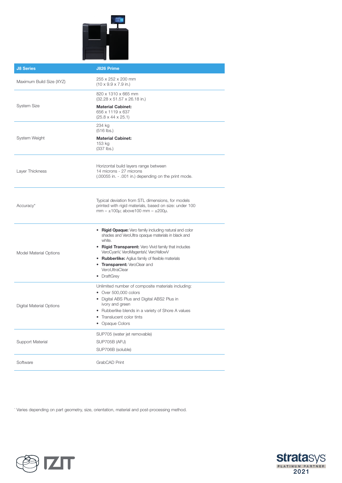

| <b>J8 Series</b>         | <b>J826 Prime</b>                                                                                                                                                                                                                                                                                                                                    |
|--------------------------|------------------------------------------------------------------------------------------------------------------------------------------------------------------------------------------------------------------------------------------------------------------------------------------------------------------------------------------------------|
| Maximum Build Size (XYZ) | 255 x 252 x 200 mm<br>$(10 \times 9.9 \times 7.9 \text{ in.})$                                                                                                                                                                                                                                                                                       |
|                          | 820 x 1310 x 665 mm<br>$(32.28 \times 51.57 \times 26.18 \text{ in.})$                                                                                                                                                                                                                                                                               |
| <b>System Size</b>       | <b>Material Cabinet:</b><br>656 x 1119 x 637<br>$(25.8 \times 44 \times 25.1)$                                                                                                                                                                                                                                                                       |
|                          | 234 kg<br>$(516$ lbs.)                                                                                                                                                                                                                                                                                                                               |
| System Weight            | <b>Material Cabinet:</b><br>153 kg<br>$(337$ lbs.)                                                                                                                                                                                                                                                                                                   |
| Layer Thickness          | Horizontal build layers range between<br>14 microns - 27 microns<br>(.00055 in. - .001 in.) depending on the print mode.                                                                                                                                                                                                                             |
| Accuracy*                | Typical deviation from STL dimensions, for models<br>printed with rigid materials, based on size: under 100<br>mm - $\pm 100 \mu$ ; above 100 mm - $\pm 200 \mu$ .                                                                                                                                                                                   |
| Model Material Options   | • Rigid Opaque: Vero family including natural and color<br>shades and VeroUltra opaque materials in black and<br>white.<br>• Rigid Transparent: Vero Vivid family that includes<br>VeroCyanV, VeroMagentaV, VeroYellowV<br>• Rubberlike: Agilus family of flexible materials<br><b>• Transparent: VeroClear and</b><br>VeroUltraClear<br>• DraftGrey |
| Digital Material Options | Unlimited number of composite materials including:<br>• Over 500,000 colors<br>• Digital ABS Plus and Digital ABS2 Plus in<br>ivory and green<br>• Rubberlike blends in a variety of Shore A values<br>• Translucent color tints<br><b>Opaque Colors</b>                                                                                             |
| Support Material         | SUP705 (water jet removable)<br>SUP705B (APJ)<br>SUP706B (soluble)                                                                                                                                                                                                                                                                                   |
| Software                 | GrabCAD Print                                                                                                                                                                                                                                                                                                                                        |



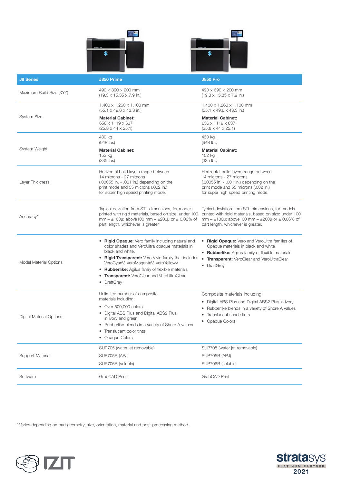



| <b>J8 Series</b>              | <b>J850 Prime</b>                                                                                                                                                                                                                                                                                                                          | <b>J850 Pro</b>                                                                                                                                                                                                         |
|-------------------------------|--------------------------------------------------------------------------------------------------------------------------------------------------------------------------------------------------------------------------------------------------------------------------------------------------------------------------------------------|-------------------------------------------------------------------------------------------------------------------------------------------------------------------------------------------------------------------------|
| Maximum Build Size (XYZ)      | $490 \times 390 \times 200$ mm<br>$(19.3 \times 15.35 \times 7.9 \text{ in.})$                                                                                                                                                                                                                                                             | $490 \times 390 \times 200$ mm<br>$(19.3 \times 15.35 \times 7.9 \text{ in.})$                                                                                                                                          |
|                               | 1,400 x 1,260 x 1,100 mm<br>$(55.1 \times 49.6 \times 43.3 \text{ in.})$                                                                                                                                                                                                                                                                   | 1,400 x 1,260 x 1,100 mm<br>$(55.1 \times 49.6 \times 43.3 \text{ in.})$                                                                                                                                                |
| System Size                   | <b>Material Cabinet:</b><br>656 x 1119 x 637<br>$(25.8 \times 44 \times 25.1)$                                                                                                                                                                                                                                                             | <b>Material Cabinet:</b><br>656 x 1119 x 637<br>$(25.8 \times 44 \times 25.1)$                                                                                                                                          |
|                               | 430 kg<br>$(948$ lbs)                                                                                                                                                                                                                                                                                                                      | 430 kg<br>$(948$ lbs)                                                                                                                                                                                                   |
| System Weight                 | <b>Material Cabinet:</b><br>152 kg<br>$(335$ lbs)                                                                                                                                                                                                                                                                                          | <b>Material Cabinet:</b><br>152 kg<br>$(335$ lbs)                                                                                                                                                                       |
| Layer Thickness               | Horizontal build layers range between<br>14 microns - 27 microns<br>(.00055 in. - .001 in.) depending on the<br>print mode and 55 microns (.002 in.)<br>for super high speed printing mode.                                                                                                                                                | Horizontal build layers range between<br>14 microns - 27 microns<br>(.00055 in. - .001 in.) depending on the<br>print mode and 55 microns (.002 in.)<br>for super high speed printing mode.                             |
| Accuracy*                     | Typical deviation from STL dimensions, for models<br>printed with rigid materials, based on size: under 100<br>mm – $\pm$ 100µ; above100 mm – $\pm$ 200µ or $\pm$ 0.06% of<br>part length, whichever is greater.                                                                                                                           | Typical deviation from STL dimensions, for models<br>printed with rigid materials, based on size: under 100<br>mm – $\pm 100\mu$ ; above 100 mm – $\pm 200\mu$ or $\pm 0.06\%$ of<br>part length, whichever is greater. |
| <b>Model Material Options</b> | • Rigid Opaque: Vero family including natural and<br>color shades and VeroUltra opaque materials in<br>black and white.<br>• Rigid Transparent: Vero Vivid family that includes<br>VeroCyanV, VeroMagentaV, VeroYellowV<br>• Rubberlike: Agilus family of flexible materials<br>• Transparent: VeroClear and VeroUltraClear<br>• DraftGrey | • Rigid Opaque: Vero and VeroUltra families of<br>Opaque materials in black and white<br>• Rubberlike: Agilus family of flexible materials<br><b>Transparent:</b> VeroClear and VeroUltraClear<br>• DraftGrey           |
| Digital Material Options      | Unlimited number of composite<br>materials including:<br>• Over 500,000 colors<br>• Digital ABS Plus and Digital ABS2 Plus<br>in ivory and green<br>• Rubberlike blends in a variety of Shore A values<br>Translucent color tints<br><b>Opaque Colors</b>                                                                                  | Composite materials including:<br>• Digital ABS Plus and Digital ABS2 Plus in ivory<br>• Rubberlike blends in a variety of Shore A values<br>• Translucent shade tints<br>• Opaque Colors                               |
| Support Material              | SUP705 (water jet removable)<br>SUP705B (APJ)<br>SUP706B (soluble)                                                                                                                                                                                                                                                                         | SUP705 (water jet removable)<br>SUP705B (APJ)<br>SUP706B (soluble)                                                                                                                                                      |
| Software                      | GrabCAD Print                                                                                                                                                                                                                                                                                                                              | GrabCAD Print                                                                                                                                                                                                           |



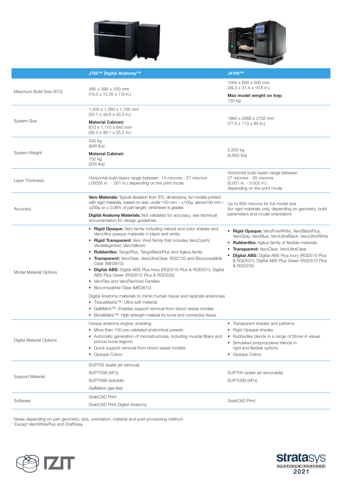



|                               | J750™ Digital Anatomy™                                                                                                                                                                                                                                                                                                                                                                                                                                                                                                                                                 | <b>J4100™</b>                                                                                                                                                                                                                                                                                                           |  |
|-------------------------------|------------------------------------------------------------------------------------------------------------------------------------------------------------------------------------------------------------------------------------------------------------------------------------------------------------------------------------------------------------------------------------------------------------------------------------------------------------------------------------------------------------------------------------------------------------------------|-------------------------------------------------------------------------------------------------------------------------------------------------------------------------------------------------------------------------------------------------------------------------------------------------------------------------|--|
| Maximum Build Size (XYZ)      | $490 \times 390 \times 200$ mm<br>$(19.3 \times 15.35 \times 7.9 \text{ in.})$                                                                                                                                                                                                                                                                                                                                                                                                                                                                                         | 1000 x 800 x 500 mm<br>$(39.3 \times 31.4 \times 19.6 \text{ in.})$<br>Max model weight on tray:                                                                                                                                                                                                                        |  |
|                               |                                                                                                                                                                                                                                                                                                                                                                                                                                                                                                                                                                        | 135 kg                                                                                                                                                                                                                                                                                                                  |  |
| <b>System Size</b>            | $1,400 \times 1,260 \times 1,100$ mm<br>$(55.1 \times 49.6 \times 43.3 \text{ in.})$<br><b>Material Cabinet:</b><br>670 x 1,170 x 640 mm<br>$(26.4 \times 46.1 \times 25.2 \text{ in.})$                                                                                                                                                                                                                                                                                                                                                                               | 1960 x 2868 x 2102 mm<br>$(77.5 \times 113 \times 83 \text{ in.})$                                                                                                                                                                                                                                                      |  |
| System Weight                 | 430 kg<br>$(948$ lbs)<br><b>Material Cabinet:</b><br>152 kg<br>$(335$ lbs)                                                                                                                                                                                                                                                                                                                                                                                                                                                                                             | 2,200 kg<br>$(4,850$ lbs)                                                                                                                                                                                                                                                                                               |  |
| Layer Thickness               | Horizontal build layers range between 14 microns - 27 microns<br>(.00055 in. - .001 in.) depending on the print mode.                                                                                                                                                                                                                                                                                                                                                                                                                                                  | Horizontal build layers range between<br>27 microns - 55 microns<br>$(0.001$ in. - $0.002$ in.)<br>depending on the print mode.                                                                                                                                                                                         |  |
| Accuracy <sup>-</sup>         | Vero Materials: Typical deviation from STL dimensions, for models printed<br>with rigid materials, based on size: under 100 mm $ \pm$ 100 $\mu$ ; above100 mm $-$<br>$\pm 200\mu$ or $\pm 0.06\%$ of part length, whichever is greater.                                                                                                                                                                                                                                                                                                                                | Up to 600 microns for full model size<br>(for rigid materials only, depending on geometry, build<br>parameters and model orientation)                                                                                                                                                                                   |  |
|                               | <b>Digital Anatomy Materials:</b> Not validated for accuracy, see technical<br>documentation for design guidelines.                                                                                                                                                                                                                                                                                                                                                                                                                                                    |                                                                                                                                                                                                                                                                                                                         |  |
| <b>Model Material Options</b> | • Rigid Opaque: Vero family including natural and color shades and<br>VeroUltra opaque materials in black and white.<br>• Rigid Transparent: Vero Vivid family that includes VeroCyanV,<br>VeroMagentaV, VeroYellowV<br>• Rubberlike: TangoPlus, TangoBlackPlus and Agilus family<br>• Transparent: VeroClear, VeroUltraClear, RGD720 and Biocompatible<br>Clear (MED610)<br>• Digital ABS: Digital ABS Plus Ivory (RGD515 Plus & RGD531), Digital<br>ABS Plus Green (RGD515 Plus & RGD535)<br>• VeroFlex and VeroFlexVivid Families<br>• Biocompatible Clear (MED610) | • Rigid Opaque: VeroPureWhite, VeroBlackPlus,<br>VeroGray, VeroBlue, VeroUltraBlack, VeroUltraWhite<br>• Rubberlike: Agilus family of flexible materials<br>Transparent: VeroClear, VeroUltraClear<br>• Digital ABS: Digital ABS Plus Ivory (RGD515 Plus<br>& RGD531), Digital ABS Plus Green (RGD515 Plus<br>& RGD535) |  |
|                               | Digital Anatomy materials to mimic human tissue and replicate anatomies<br>• TissueMatrix <sup>™</sup> : Ultra-soft material<br>• GelMatrix <sup>TM</sup> : Enables support removal from blood vessel models<br>• BoneMatrix <sup>TM</sup> : High-strength material for bone and connective tissue                                                                                                                                                                                                                                                                     |                                                                                                                                                                                                                                                                                                                         |  |
| Digital Material Options      | Unique anatomy engine, enabling:<br>• More than 100 pre-validated anatomical presets<br>• Automatic generation of microstructures, including muscle fibers and<br>porous bone regions<br>• Quick support removal from blood vessel models<br>• Opaque Colors                                                                                                                                                                                                                                                                                                           | • Transparent shades and patterns<br>• Rigid Opaque shades<br>• Rubberlike blends in a range of Shore A values<br>• Simulated polypropylene blends in<br>rigid and flexible options<br>• Opaque Colors                                                                                                                  |  |
| Support Material              | SUP705 (water jet removal)<br>SUP705B (APJ)<br>SUP706B (soluble)<br>GelMatrix (gel-like)                                                                                                                                                                                                                                                                                                                                                                                                                                                                               | SUP705 (water jet removable)<br>SUP705B (APJ)                                                                                                                                                                                                                                                                           |  |
| Software                      | GrabCAD Print<br>GrabCAD Print Digital Anatomy                                                                                                                                                                                                                                                                                                                                                                                                                                                                                                                         | GrabCAD Print                                                                                                                                                                                                                                                                                                           |  |

\*\* Except VeroWhitePlus and DraftGrey.



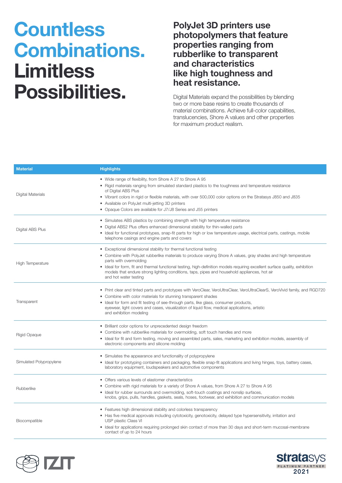### **Countless** Combinations. Limitless Possibilities.

#### PolyJet 3D printers use photopolymers that feature properties ranging from rubberlike to transparent and characteristics like high toughness and heat resistance.

Digital Materials expand the possibilities by blending two or more base resins to create thousands of material combinations. Achieve full-color capabilities, translucencies, Shore A values and other properties for maximum product realism.

| <b>Material</b>          | <b>Highlights</b>                                                                                                                                                                                                                                                                                                                                                                                                                                                        |  |  |
|--------------------------|--------------------------------------------------------------------------------------------------------------------------------------------------------------------------------------------------------------------------------------------------------------------------------------------------------------------------------------------------------------------------------------------------------------------------------------------------------------------------|--|--|
| <b>Digital Materials</b> | • Wide range of flexibility, from Shore A 27 to Shore A 95<br>• Rigid materials ranging from simulated standard plastics to the toughness and temperature resistance<br>of Digital ABS Plus<br>• Vibrant colors in rigid or flexible materials, with over 500,000 color options on the Stratasys J850 and J835<br>• Available on PolyJet multi-jetting 3D printers<br>• Opaque Colors are available for J7/J8 Series and J55 printers                                    |  |  |
| Digital ABS Plus         | • Simulates ABS plastics by combining strength with high temperature resistance<br>• Digital ABS2 Plus offers enhanced dimensional stability for thin-walled parts<br>• Ideal for functional prototypes, snap-fit parts for high or low temperature usage, electrical parts, castings, mobile<br>telephone casings and engine parts and covers                                                                                                                           |  |  |
| <b>High Temperature</b>  | • Exceptional dimensional stability for thermal functional testing<br>• Combine with PolyJet rubberlike materials to produce varying Shore A values, gray shades and high temperature<br>parts with overmolding<br>· Ideal for form, fit and thermal functional testing, high-definition models requiring excellent surface quality, exhibition<br>models that endure strong lighting conditions, taps, pipes and household appliances, hot air<br>and hot water testing |  |  |
| Transparent              | • Print clear and tinted parts and prototypes with VeroClear, VeroUltraClear, VeroUltraClearS, VeroVivid family, and RGD720<br>• Combine with color materials for stunning transparent shades<br>• Ideal for form and fit testing of see-through parts, like glass, consumer products,<br>eyewear, light covers and cases, visualization of liquid flow, medical applications, artistic<br>and exhibition modeling                                                       |  |  |
| <b>Rigid Opaque</b>      | • Brilliant color options for unprecedented design freedom<br>• Combine with rubberlike materials for overmolding, soft touch handles and more<br>• Ideal for fit and form testing, moving and assembled parts, sales, marketing and exhibition models, assembly of<br>electronic components and silicone molding                                                                                                                                                        |  |  |
| Simulated Polypropylene  | • Simulates the appearance and functionality of polypropylene<br>• Ideal for prototyping containers and packaging, flexible snap-fit applications and living hinges, toys, battery cases,<br>laboratory equipment, loudspeakers and automotive components                                                                                                                                                                                                                |  |  |
| Rubberlike               | • Offers various levels of elastomer characteristics<br>• Combine with rigid materials for a variety of Shore A values, from Shore A 27 to Shore A 95<br>• Ideal for rubber surrounds and overmolding, soft-touch coatings and nonslip surfaces,<br>knobs, grips, pulls, handles, gaskets, seals, hoses, footwear, and exhibition and communication models                                                                                                               |  |  |
| Biocompatible            | • Features high dimensional stability and colorless transparency<br>• Has five medical approvals including cytotoxicity, genotoxicity, delayed type hypersensitivity, irritation and<br><b>USP plastic Class VI</b><br>• Ideal for applications requiring prolonged skin contact of more than 30 days and short-term mucosal-membrane<br>contact of up to 24 hours                                                                                                       |  |  |



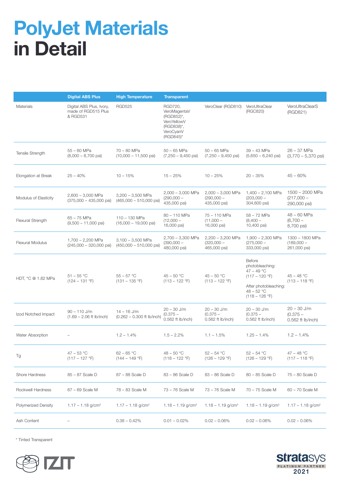## PolyJet Materials in Detail

|                         | <b>Digital ABS Plus</b>                                     | <b>High Temperature</b>                                  | <b>Transparent</b>                                                                           |                                                        |                                                                                                                                    |                                                        |
|-------------------------|-------------------------------------------------------------|----------------------------------------------------------|----------------------------------------------------------------------------------------------|--------------------------------------------------------|------------------------------------------------------------------------------------------------------------------------------------|--------------------------------------------------------|
| Materials               | Digital ABS Plus, Ivory,<br>made of RGD515 Plus<br>& RGD531 | <b>RGD525</b>                                            | RGD720,<br>VeroMagentaV<br>(RGD852)*,<br>VeroYellowV<br>(RGD838)*,<br>VeroCyanV<br>(RGD845)* | VeroClear (RGD810)                                     | VeroUltraClear<br>(RGC820)                                                                                                         | Verol JItraClearS<br>(RGD821)                          |
| Tensile Strength        | $55 - 60$ MPa<br>$(8,000 - 8,700 \text{ psi})$              | $70 - 80$ MPa<br>$(10,000 - 11,500 \text{ psi})$         | $50 - 65$ MPa<br>$(7,250 - 9,450 \text{ psi})$                                               | $50 - 65$ MPa<br>$(7,250 - 9,450 \text{ psi})$         | $39 - 43$ MPa<br>$(5,650 - 6,240 \text{ psi})$                                                                                     | $26 - 37$ MPa<br>$(3,770 - 5,370 \text{ psi})$         |
| Elongation at Break     | $25 - 40%$                                                  | $10 - 15%$                                               | $15 - 25%$                                                                                   | $10 - 25%$                                             | $20 - 35%$                                                                                                                         | $45 - 60%$                                             |
| Modulus of Elasticity   | $2,600 - 3,000$ MPa<br>$(375,000 - 435,000 \text{ psi})$    | $3,200 - 3,500$ MPa<br>$(465,000 - 510,000 \text{ psi})$ | $2,000 - 3,000$ MPa<br>$(290,000 -$<br>435,000 psi)                                          | $2,000 - 3,000$ MPa<br>$(290,000 -$<br>435,000 psi)    | $1,400 - 2,100$ MPa<br>$(203,000 -$<br>304,600 psi)                                                                                | 1500 - 2000 MPa<br>$(217,000 -$<br>290,000 psi)        |
| Flexural Strength       | $65 - 75$ MPa<br>$(9,500 - 11,000 \text{ psi})$             | 110 - 130 MPa<br>$(16,000 - 19,000 \text{ psi})$         | 80 - 110 MPa<br>$(12,000 -$<br>16,000 psi)                                                   | 75 - 110 MPa<br>$(11,000 -$<br>16,000 psi)             | $58 - 72$ MPa<br>$(8,400 -$<br>10,400 psi)                                                                                         | 48 - 60 MPa<br>$(6,700 -$<br>8,700 psi)                |
| <b>Flexural Modulus</b> | $1,700 - 2,200$ MPa<br>$(245,000 - 320,000 \text{ psi})$    | $3.100 - 3.500$ MPa<br>$(450,000 - 510,000 \text{ psi})$ | 2,700 - 3,300 MPa<br>$(390,000 -$<br>480,000 psi)                                            | $2,200 - 3,200$ MPa<br>$(320,000 -$<br>465,000 psi)    | $1,900 - 2,300$ MPa<br>$(275,000 -$<br>333,000 psi)                                                                                | 1300 - 1800 MPa<br>$(189,000 -$<br>261,000 psi)        |
| HDT, °C @ 1.82 MPa      | $51 - 55 °C$<br>$(124 - 131$ °F)                            | $55 - 57 °C$<br>$(131 - 135 \text{ }^{\circ}\text{F})$   | $45 - 50 °C$<br>$(113 - 122 \text{ }^\circ F)$                                               | $45 - 50 °C$<br>$(113 - 122 \text{ }^{\circ}\text{F})$ | Before<br>photobleaching:<br>$47 - 49 °C$<br>$(117 - 120$ °F)<br>After photobleaching:<br>$48 - 52 °C$<br>$(118 - 126 \text{ °F})$ | $45 - 48 °C$<br>$(113 - 118 \text{ }^{\circ}\text{F})$ |
| Izod Notched Impact     | $90 - 110$ J/m<br>$(1.69 - 2.06$ ft lb/inch)                | $14 - 16$ J/m<br>$(0.262 - 0.300$ ft lb/inch)            | $20 - 30$ J/m<br>$(0.375 -$<br>$0.562$ ft lb/inch)                                           | $20 - 30$ J/m<br>$(0.375 -$<br>$0.562$ ft lb/inch)     | $20 - 30$ J/m<br>$(0.375 -$<br>0.562 ft lb/inch)                                                                                   | $20 - 30$ J/m<br>$(0.375 -$<br>$0.562$ ft $ b/inch$    |
| Water Absorption        |                                                             | $1.2 - 1.4\%$                                            | $1.5 - 2.2%$                                                                                 | $1.1 - 1.5\%$                                          | $1.25 - 1.4\%$                                                                                                                     | $1.2 - 1.4\%$                                          |
| Τg                      | $47 - 53 °C$<br>$(117 - 127$ °F)                            | $62 - 65 °C$<br>$(144 - 149 \degree F)$                  | $48 - 50 °C$<br>$(118 - 122 \text{ }^{\circ}\text{F})$                                       | $52 - 54 °C$<br>$(126 - 129 \degree F)$                | $52 - 54 °C$<br>$(126 - 129 \text{ }^{\circ}\text{F})$                                                                             | $47 - 48 °C$<br>$(117 - 118 \text{ °F})$               |
| Shore Hardness          | 85 - 87 Scale D                                             | 87 - 88 Scale D                                          | 83 - 86 Scale D                                                                              | 83 - 86 Scale D                                        | 80 - 85 Scale D                                                                                                                    | 75 – 80 Scale D                                        |
| Rockwell Hardness       | 67 - 69 Scale M                                             | 78 - 83 Scale M                                          | 73 - 76 Scale M                                                                              | 73 - 76 Scale M                                        | 70 - 75 Scale M                                                                                                                    | 60 - 70 Scale M                                        |
| Polymerized Density     | $1.17 - 1.18$ g/cm <sup>3</sup>                             | $1.17 - 1.18$ g/cm <sup>3</sup>                          | $1.18 - 1.19$ g/cm <sup>3</sup>                                                              | $1.18 - 1.19$ g/cm <sup>3</sup>                        | $1.18 - 1.19$ g/cm <sup>3</sup>                                                                                                    | $1.17 - 1.18$ g/cm <sup>2</sup>                        |
| Ash Content             |                                                             | $0.38 - 0.42\%$                                          | $0.01 - 0.02\%$                                                                              | $0.02 - 0.06\%$                                        | $0.02 - 0.06\%$                                                                                                                    | $0.02 - 0.06\%$                                        |

\* Tinted Transparent



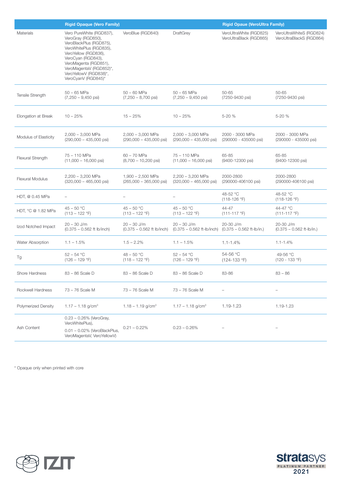|                          | <b>Rigid Opaque (Vero Family)</b>                                                                                                                                                                                                                       |                                                          |                                                                          | <b>Rigid Opaue (VeroUltra Family)</b>              |                                                      |  |
|--------------------------|---------------------------------------------------------------------------------------------------------------------------------------------------------------------------------------------------------------------------------------------------------|----------------------------------------------------------|--------------------------------------------------------------------------|----------------------------------------------------|------------------------------------------------------|--|
| Materials                | Vero PureWhite (RGD837),<br>VeroGray (RGD850),<br>VeroBlackPlus (RGD875),<br>VeroWhitePlus (RGD835),<br>VeroYellow (RGD836),<br>VeroCyan (RGD843),<br>VeroMagenta (RGD851),<br>VeroMagentaV (RGD852)*,<br>VeroYellowV (RGD838)*,<br>VeroCyanV (RGD845)* | VeroBlue (RGD840)                                        | DraftGrey                                                                | VeroUltraWhite (RGD825)<br>VeroUltraBlack (RGD865) | VeroUltraWhiteS (RGD824)<br>VeroUltraBlackS (RGD864) |  |
| <b>Tensile Strength</b>  | 50 – 65 MPa<br>$(7,250 - 9,450 \text{ psi})$                                                                                                                                                                                                            | $50 - 60$ MPa<br>$(7,250 - 8,700 \text{ psi})$           | $50 - 65$ MPa<br>$(7,250 - 9,450 \text{ psi})$                           | 50-65<br>(7250-9430 psi)                           | $50 - 65$<br>(7250-9430 psi)                         |  |
| Elongation at Break      | $10 - 25%$                                                                                                                                                                                                                                              | $15 - 25%$                                               | $10 - 25%$                                                               | 5-20 %                                             | 5-20 %                                               |  |
| Modulus of Elasticity    | $2,000 - 3,000$ MPa<br>$(290,000 - 435,000 \text{ psi})$                                                                                                                                                                                                | $2,000 - 3,000$ MPa<br>$(290,000 - 435,000 \text{ psi})$ | $2,000 - 3,000$ MPa<br>$(290,000 - 435,000 \text{ psi})$                 | 2000 - 3000 MPa<br>(290000 - 435000 psi)           | 2000 - 3000 MPa<br>(290000 - 435000 psi)             |  |
| <b>Flexural Strength</b> | 75 – 110 MPa<br>$(11,000 - 16,000 \text{ psi})$                                                                                                                                                                                                         | 60 - 70 MPa<br>$(8,700 - 10,200 \text{ psi})$            | 75 - 110 MPa<br>$(11,000 - 16,000 \text{ psi})$                          | 65-85<br>(9400-12300 psi)                          | 65-85<br>(9400-12300 psi)                            |  |
| <b>Flexural Modulus</b>  | 2.200 - 3.200 MPa<br>$(320,000 - 465,000 \text{ psi})$                                                                                                                                                                                                  | $1,900 - 2,500$ MPa<br>$(265,000 - 365,000 \text{ psi})$ | $2,200 - 3,200$ MPa<br>$(320,000 - 465,000 \text{ psi})$                 | 2000-2800<br>(290000-406100 psi)                   | 2000-2800<br>(290000-406100 psi)                     |  |
| HDT, @ 0.45 MPa          |                                                                                                                                                                                                                                                         |                                                          |                                                                          | 48-52 °C<br>$(118-126 \degree F)$                  | 48-52 °C<br>$(118-126 \degree F)$                    |  |
| HDT, °C @ 1.82 MPa       | $45 - 50 °C$<br>$(113 - 122 \text{ }^\circ F)$                                                                                                                                                                                                          | $45 - 50 °C$<br>$(113 - 122 \text{ }^{\circ}\text{F})$   | $45 - 50 °C$<br>$(113 - 122 \text{ }^\circ F)$                           | $44 - 47$<br>$(111 - 117$ °F)                      | 44-47 °C<br>$(111 - 117$ °F)                         |  |
| Izod Notched Impact      | $20 - 30$ J/m<br>$(0.375 - 0.562$ ft lb/inch)                                                                                                                                                                                                           | $20 - 30$ J/m<br>$(0.375 - 0.562$ ft lb/inch)            | $20 - 30$ J/m<br>$(0.375 - 0.562$ ft-lb/inch) $(0.375 - 0.562$ ft-lb/in. | 20-30 J/m                                          | 20-30 J/m<br>$(0.375 - 0.562$ ft-lb/in.)             |  |
| Water Absorption         | $1.1 - 1.5%$                                                                                                                                                                                                                                            | $1.5 - 2.2%$                                             | $1.1 - 1.5\%$                                                            | $1.1 - 1.4%$                                       | $1.1 - 1.4%$                                         |  |
| Tg                       | $52 - 54 °C$<br>$(126 - 129 \degree F)$                                                                                                                                                                                                                 | $48 - 50 °C$<br>$(118 - 122 \text{ }^{\circ}\text{F})$   | $52 - 54 °C$<br>$(126 - 129 \degree F)$                                  | 54-56 °C<br>$(124-133 \degree F)$                  | 49-56 °C<br>$(120 - 133 \text{ }^\circ F)$           |  |
| Shore Hardness           | 83 - 86 Scale D                                                                                                                                                                                                                                         | 83 - 86 Scale D                                          | 83 - 86 Scale D                                                          | 83-86                                              | $83 - 86$                                            |  |
| Rockwell Hardness        | 73 - 76 Scale M                                                                                                                                                                                                                                         | 73 - 76 Scale M                                          | 73 - 76 Scale M                                                          |                                                    |                                                      |  |
| Polymerized Density      | $1.17 - 1.18$ g/cm <sup>3</sup>                                                                                                                                                                                                                         | $1.18 - 1.19$ g/cm <sup>3</sup>                          | $1.17 - 1.18$ g/cm <sup>3</sup>                                          | 1.19-1.23                                          | 1.19-1.23                                            |  |
| Ash Content              | $0.23 - 0.26\%$ (VeroGray,<br>VeroWhitePlus),<br>$0.01 - 0.02\%$ (VeroBlackPlus,<br>VeroMagentaV, VeroYellowV)                                                                                                                                          | $0.21 - 0.22\%$                                          | $0.23 - 0.26%$                                                           |                                                    |                                                      |  |

\* Opaque only when printed with core



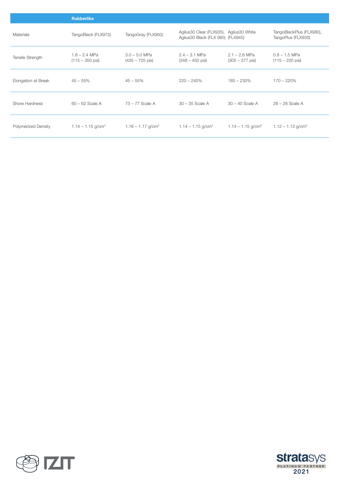|                     | <b>Rubberlike</b>                            |                                              |                                                                                |                                              |                                                |
|---------------------|----------------------------------------------|----------------------------------------------|--------------------------------------------------------------------------------|----------------------------------------------|------------------------------------------------|
| <b>Materials</b>    | TangoBlack (FLX973)                          | TangoGray (FLX950)                           | Agilus 30 Clear (FLX935), Agilus 30 White<br>Agilus30 Black (FLX 985) (FLX945) |                                              | TangoBlackPlus (FLX980),<br>TangoPlus (FLX930) |
| Tensile Strength    | $1.8 - 2.4$ MPa<br>$(115 - 350 \text{ psi})$ | $3.0 - 5.0$ MPa<br>$(435 - 725 \text{ psi})$ | $2.4 - 3.1$ MPa<br>$(348 - 450 \text{ psi})$                                   | $2.1 - 2.6$ MPa<br>$(305 - 377 \text{ psi})$ | $0.8 - 1.5$ MPa<br>$(115 - 220 \text{ psi})$   |
| Elongation at Break | $45 - 55\%$                                  | $45 - 55\%$                                  | $220 - 240%$                                                                   | $185 - 230%$                                 | $170 - 220%$                                   |
| Shore Hardness      | $60 - 62$ Scale A                            | 73 – 77 Scale A                              | $30 - 35$ Scale A                                                              | $30 - 40$ Scale A                            | $26 - 28$ Scale A                              |
| Polymerized Density | $1.14 - 1.15$ g/cm <sup>3</sup>              | $1.16 - 1.17$ g/cm <sup>3</sup>              | $1.14 - 1.15$ g/cm <sup>3</sup>                                                | $1.14 - 1.15$ g/cm <sup>3</sup>              | $1.12 - 1.13$ g/cm <sup>3</sup>                |



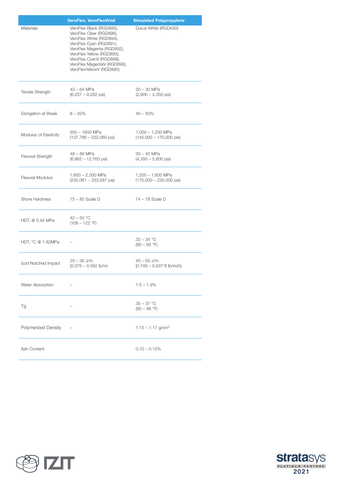|                         | <b>VeroFlex, VeroFlexVivid</b>                                                                                                                                                                                                                                | <b>Simulated Polypropylene</b>                           |
|-------------------------|---------------------------------------------------------------------------------------------------------------------------------------------------------------------------------------------------------------------------------------------------------------|----------------------------------------------------------|
| <b>Materials</b>        | VeroFlex Black (RGD895),<br>VeroFlex Clear (RGD896),<br>VeroFlex White (RGD894),<br>VeroFlex Cyan (RGD891),<br>VeroFlex Magenta (RGD892),<br>VeroFlex Yellow (RGD893),<br>VeroFlex CyanV (RGD898),<br>VeroFlex MagentaV (RGD899),<br>VeroFlexYellowV (RGD890) | Durus White (RGD430)                                     |
| Tensile Strength        | 43 - 64 MPa<br>$(6,237 - 9,282 \text{ psi})$                                                                                                                                                                                                                  | 20 – 30 MPa<br>$(2,900 - 4,350 \text{ psi})$             |
| Elongation at Break     | $8 - 20\%$                                                                                                                                                                                                                                                    | $40 - 50%$                                               |
| Modulus of Elasticity   | 950 – 1600 MPa<br>$(137,786 - 232,060 \text{ psi})$                                                                                                                                                                                                           | $1,000 - 1,200$ MPa<br>$(145,000 - 175,000 \text{ psi})$ |
| Flexural Strength       | 48 - 88 MPa<br>$(6,962 - 12,763 \text{ psi})$                                                                                                                                                                                                                 | 30 - 40 MPa<br>$(4,350 - 5,800 \text{ psi})$             |
| <b>Flexural Modulus</b> | 1,600 - 2,300 MPa<br>$(232,061 - 333,587 \text{ psi})$                                                                                                                                                                                                        | 1,200 – 1,600 MPa<br>$(175,000 - 230,000 \text{ psi})$   |
| Shore Hardness          | 75 - 85 Scale D                                                                                                                                                                                                                                               | 74 - 78 Scale D                                          |
| HDT, @ 0.45 MPa         | $42 - 50 °C$<br>$(108 - 122 \text{ }^{\circ}\text{F})$                                                                                                                                                                                                        |                                                          |
| HDT, °C @ 1.82MPa       |                                                                                                                                                                                                                                                               | $32 - 34 °C$<br>$(90 - 93 \degree F)$                    |
| Izod Notched Impact     | 20 – 30 J/m<br>$(0.375 - 0.562$ lb/in)                                                                                                                                                                                                                        | $40 - 50$ J/m<br>$(0.749 - 0.937$ ft lb/inch)            |
| Water Absorption        |                                                                                                                                                                                                                                                               | $1.5 - 1.9%$                                             |
| Tg                      |                                                                                                                                                                                                                                                               | $35 - 37 °C$<br>$(95 - 99 \degree F)$                    |
| Polymerized Density     |                                                                                                                                                                                                                                                               | $1.15 - 1.17$ g/cm <sup>3</sup>                          |
| Ash Content             |                                                                                                                                                                                                                                                               | $0.10 - 0.12%$                                           |